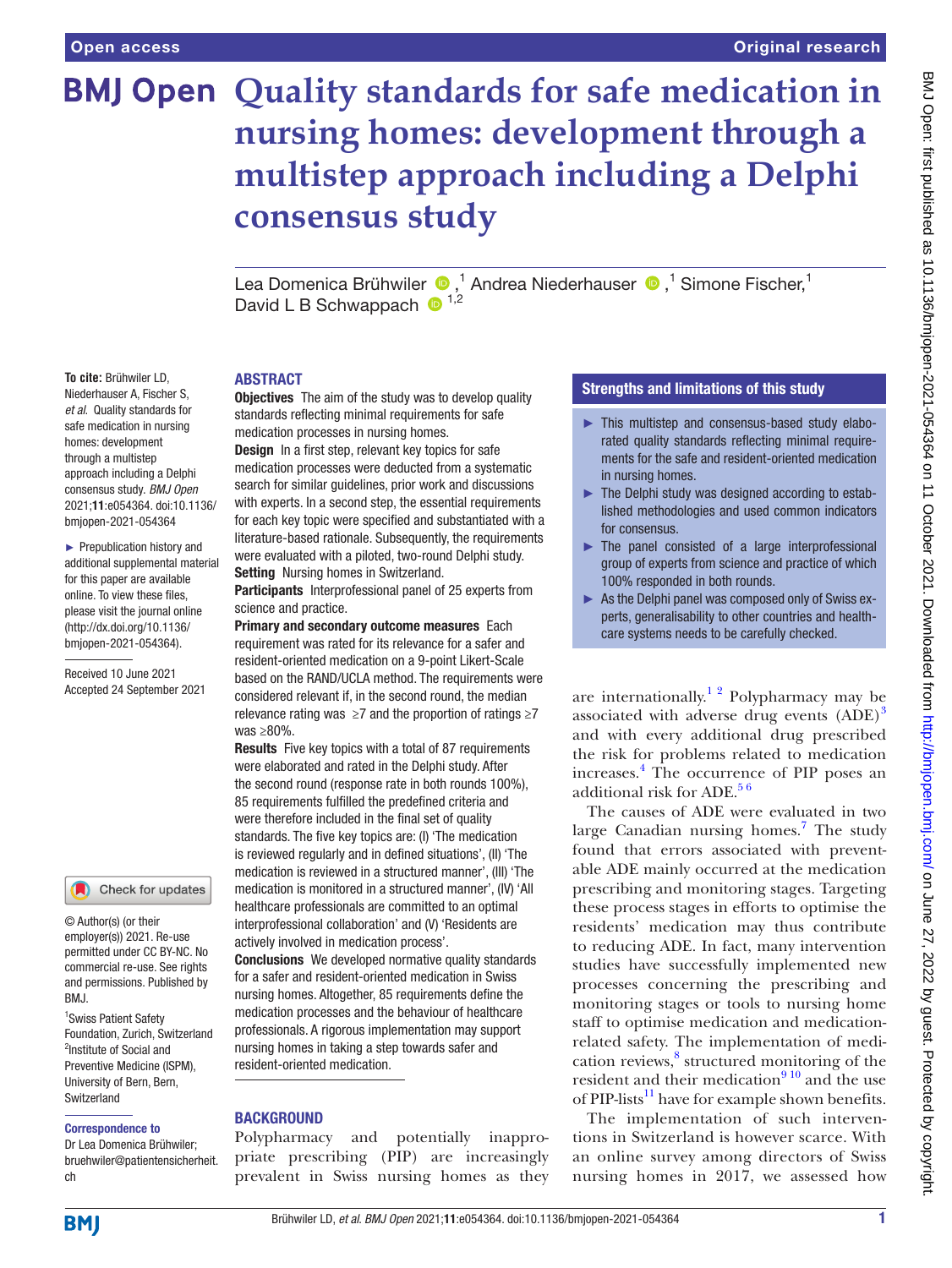**To cite:** Brühwiler LD, Niederhauser A, Fischer S, *et al*. Quality standards for safe medication in nursing homes: development through a multistep approach including a Delphi consensus study. *BMJ Open* 2021;11:e054364. doi:10.1136/ bmjopen-2021-054364 ► Prepublication history and additional supplemental material for this paper are available online. To view these files, please visit the journal online [\(http://dx.doi.org/10.1136/](http://dx.doi.org/10.1136/bmjopen-2021-054364) [bmjopen-2021-054364](http://dx.doi.org/10.1136/bmjopen-2021-054364)). Received 10 June 2021 Accepted 24 September 2021

# **BMJ Open Quality standards for safe medication in nursing homes: development through a multistep approach including a Delphi consensus study**

LeaDomenica Brühwiler (D,<sup>1</sup> Andrea Niederhauser (D,<sup>1</sup> Simone Fischer,<sup>1</sup> David L B Schwappach  $\bullet$ <sup>1,2</sup>

#### **ABSTRACT**

**Objectives** The aim of the study was to develop quality standards reflecting minimal requirements for safe medication processes in nursing homes.

Design In a first step, relevant key topics for safe medication processes were deducted from a systematic search for similar guidelines, prior work and discussions with experts. In a second step, the essential requirements for each key topic were specified and substantiated with a literature-based rationale. Subsequently, the requirements were evaluated with a piloted, two-round Delphi study. **Setting** Nursing homes in Switzerland.

Participants Interprofessional panel of 25 experts from science and practice.

Primary and secondary outcome measures Each requirement was rated for its relevance for a safer and resident-oriented medication on a 9-point Likert-Scale based on the RAND/UCLA method. The requirements were considered relevant if, in the second round, the median relevance rating was  $\geq 7$  and the proportion of ratings  $\geq 7$ was ≥80%.

Results Five key topics with a total of 87 requirements were elaborated and rated in the Delphi study. After the second round (response rate in both rounds 100%), 85 requirements fulfilled the predefined criteria and were therefore included in the final set of quality standards. The five key topics are: (I) 'The medication is reviewed regularly and in defined situations', (II) 'The medication is reviewed in a structured manner', (III) 'The medication is monitored in a structured manner', (IV) 'All healthcare professionals are committed to an optimal interprofessional collaboration' and (V) 'Residents are actively involved in medication process'.

**Conclusions** We developed normative quality standards for a safer and resident-oriented medication in Swiss nursing homes. Altogether, 85 requirements define the medication processes and the behaviour of healthcare professionals. A rigorous implementation may support nursing homes in taking a step towards safer and resident-oriented medication.

## **BACKGROUND**

Polypharmacy and potentially inappropriate prescribing (PIP) are increasingly prevalent in Swiss nursing homes as they

## Strengths and limitations of this study

- ► This multistep and consensus-based study elaborated quality standards reflecting minimal requirements for the safe and resident-oriented medication in nursing homes.
- ► The Delphi study was designed according to established methodologies and used common indicators for consensus.
- $\blacktriangleright$  The panel consisted of a large interprofessional group of experts from science and practice of which 100% responded in both rounds.
- ► As the Delphi panel was composed only of Swiss experts, generalisability to other countries and healthcare systems needs to be carefully checked.

are internationally.<sup>1 2</sup> Polypharmacy may be associated with adverse drug events (ADE)<sup>3</sup> and with every additional drug prescribed the risk for problems related to medication increases.[4](#page-6-2) The occurrence of PIP poses an additional risk for ADE. $56$ 

The causes of ADE were evaluated in two large Canadian nursing homes.<sup>7</sup> The study found that errors associated with preventable ADE mainly occurred at the medication prescribing and monitoring stages. Targeting these process stages in efforts to optimise the residents' medication may thus contribute to reducing ADE. In fact, many intervention studies have successfully implemented new processes concerning the prescribing and monitoring stages or tools to nursing home staff to optimise medication and medicationrelated safety. The implementation of medi-cation reviews,<sup>[8](#page-6-5)</sup> structured monitoring of the resident and their medication $910$  and the use of PIP-lists $^{11}$  have for example shown benefits.

The implementation of such interventions in Switzerland is however scarce. With an online survey among directors of Swiss nursing homes in 2017, we assessed how

## Check for updates

© Author(s) (or their employer(s)) 2021. Re-use permitted under CC BY-NC. No commercial re-use. See rights and permissions. Published by RM<sub>J</sub>

<sup>1</sup> Swiss Patient Safety Foundation, Zurich, Switzerland <sup>2</sup>Institute of Social and Preventive Medicine (ISPM), University of Bern, Bern, Switzerland

#### Correspondence to

Dr Lea Domenica Brühwiler; bruehwiler@patientensicherheit. ch

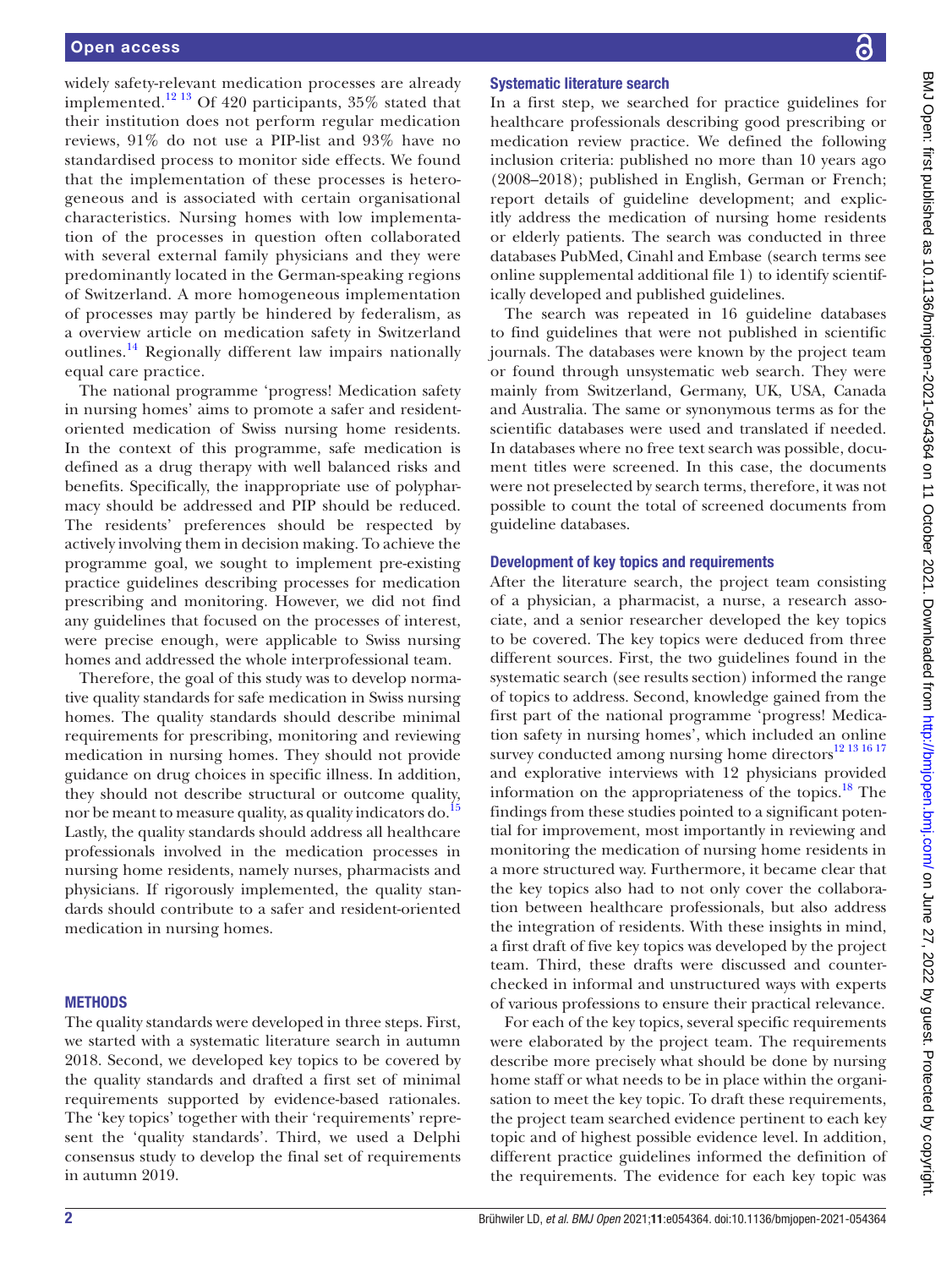widely safety-relevant medication processes are already implemented.<sup>12 13</sup> Of 420 participants,  $35\%$  stated that their institution does not perform regular medication reviews, 91% do not use a PIP-list and 93% have no standardised process to monitor side effects. We found that the implementation of these processes is heterogeneous and is associated with certain organisational characteristics. Nursing homes with low implementation of the processes in question often collaborated with several external family physicians and they were predominantly located in the German-speaking regions of Switzerland. A more homogeneous implementation of processes may partly be hindered by federalism, as a overview article on medication safety in Switzerland outlines.[14](#page-6-9) Regionally different law impairs nationally equal care practice.

The national programme 'progress! Medication safety in nursing homes' aims to promote a safer and residentoriented medication of Swiss nursing home residents. In the context of this programme, safe medication is defined as a drug therapy with well balanced risks and benefits. Specifically, the inappropriate use of polypharmacy should be addressed and PIP should be reduced. The residents' preferences should be respected by actively involving them in decision making. To achieve the programme goal, we sought to implement pre-existing practice guidelines describing processes for medication prescribing and monitoring. However, we did not find any guidelines that focused on the processes of interest, were precise enough, were applicable to Swiss nursing homes and addressed the whole interprofessional team.

Therefore, the goal of this study was to develop normative quality standards for safe medication in Swiss nursing homes. The quality standards should describe minimal requirements for prescribing, monitoring and reviewing medication in nursing homes. They should not provide guidance on drug choices in specific illness. In addition, they should not describe structural or outcome quality, nor be meant to measure quality, as quality indicators do.<sup>15</sup> Lastly, the quality standards should address all healthcare professionals involved in the medication processes in nursing home residents, namely nurses, pharmacists and physicians. If rigorously implemented, the quality standards should contribute to a safer and resident-oriented medication in nursing homes.

## **METHODS**

The quality standards were developed in three steps. First, we started with a systematic literature search in autumn 2018. Second, we developed key topics to be covered by the quality standards and drafted a first set of minimal requirements supported by evidence-based rationales. The 'key topics' together with their 'requirements' represent the 'quality standards'. Third, we used a Delphi consensus study to develop the final set of requirements in autumn 2019.

## Systematic literature search

In a first step, we searched for practice guidelines for healthcare professionals describing good prescribing or medication review practice. We defined the following inclusion criteria: published no more than 10 years ago (2008–2018); published in English, German or French; report details of guideline development; and explicitly address the medication of nursing home residents or elderly patients. The search was conducted in three databases PubMed, Cinahl and Embase (search terms see [online supplemental additional file 1\)](https://dx.doi.org/10.1136/bmjopen-2021-054364) to identify scientifically developed and published guidelines.

The search was repeated in 16 guideline databases to find guidelines that were not published in scientific journals. The databases were known by the project team or found through unsystematic web search. They were mainly from Switzerland, Germany, UK, USA, Canada and Australia. The same or synonymous terms as for the scientific databases were used and translated if needed. In databases where no free text search was possible, document titles were screened. In this case, the documents were not preselected by search terms, therefore, it was not possible to count the total of screened documents from guideline databases.

#### Development of key topics and requirements

After the literature search, the project team consisting of a physician, a pharmacist, a nurse, a research associate, and a senior researcher developed the key topics to be covered. The key topics were deduced from three different sources. First, the two guidelines found in the systematic search (see results section) informed the range of topics to address. Second, knowledge gained from the first part of the national programme 'progress! Medication safety in nursing homes', which included an online survey conducted among nursing home directors<sup>12 13 16</sup> 17 and explorative interviews with 12 physicians provided information on the appropriateness of the topics. $^{18}$  The findings from these studies pointed to a significant potential for improvement, most importantly in reviewing and monitoring the medication of nursing home residents in a more structured way. Furthermore, it became clear that the key topics also had to not only cover the collaboration between healthcare professionals, but also address the integration of residents. With these insights in mind, a first draft of five key topics was developed by the project team. Third, these drafts were discussed and counterchecked in informal and unstructured ways with experts of various professions to ensure their practical relevance.

For each of the key topics, several specific requirements were elaborated by the project team. The requirements describe more precisely what should be done by nursing home staff or what needs to be in place within the organisation to meet the key topic. To draft these requirements, the project team searched evidence pertinent to each key topic and of highest possible evidence level. In addition, different practice guidelines informed the definition of the requirements. The evidence for each key topic was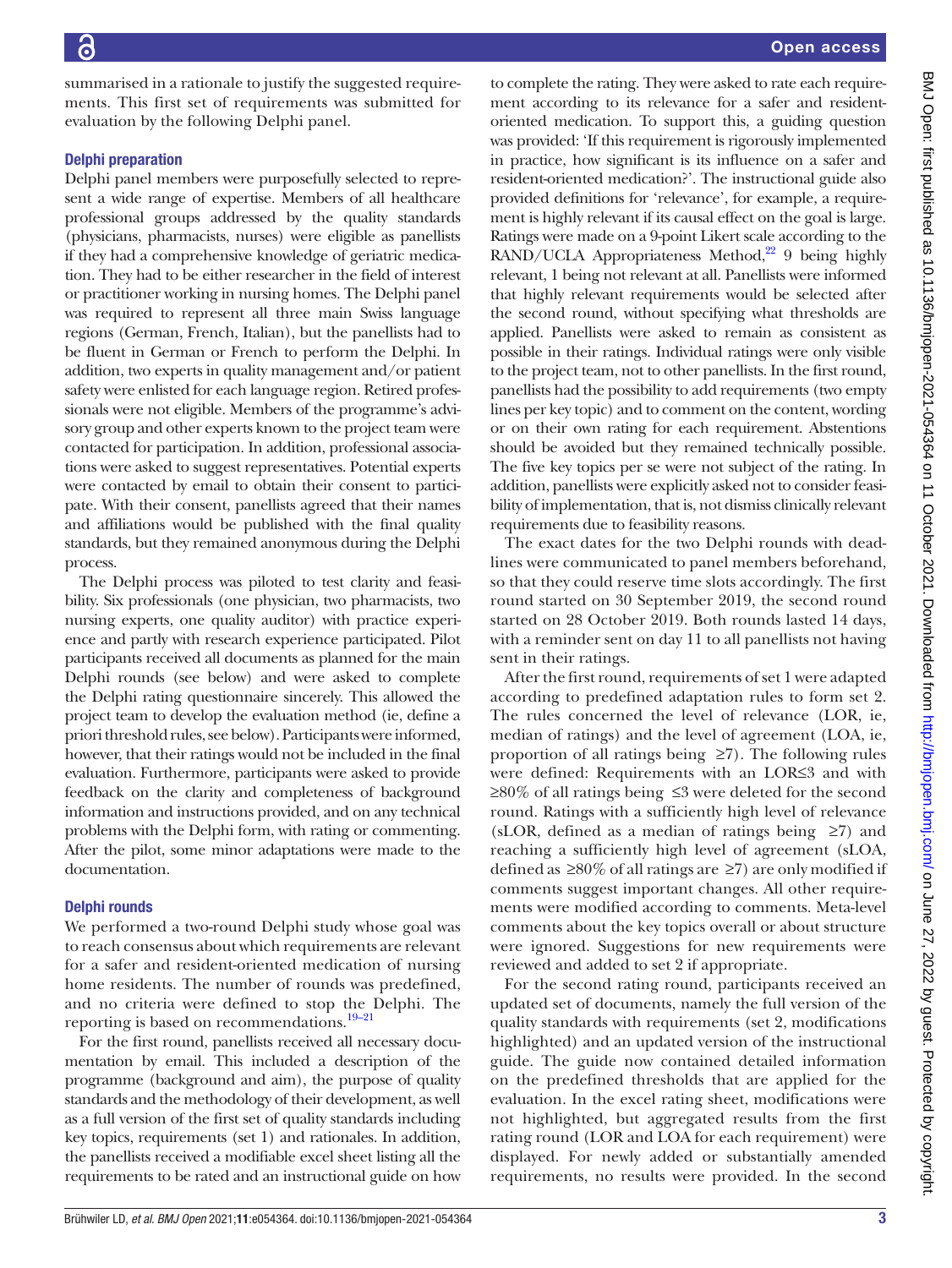summarised in a rationale to justify the suggested requirements. This first set of requirements was submitted for evaluation by the following Delphi panel.

## Delphi preparation

Delphi panel members were purposefully selected to represent a wide range of expertise. Members of all healthcare professional groups addressed by the quality standards (physicians, pharmacists, nurses) were eligible as panellists if they had a comprehensive knowledge of geriatric medication. They had to be either researcher in the field of interest or practitioner working in nursing homes. The Delphi panel was required to represent all three main Swiss language regions (German, French, Italian), but the panellists had to be fluent in German or French to perform the Delphi. In addition, two experts in quality management and/or patient safety were enlisted for each language region. Retired professionals were not eligible. Members of the programme's advisory group and other experts known to the project team were contacted for participation. In addition, professional associations were asked to suggest representatives. Potential experts were contacted by email to obtain their consent to participate. With their consent, panellists agreed that their names and affiliations would be published with the final quality standards, but they remained anonymous during the Delphi process.

The Delphi process was piloted to test clarity and feasibility. Six professionals (one physician, two pharmacists, two nursing experts, one quality auditor) with practice experience and partly with research experience participated. Pilot participants received all documents as planned for the main Delphi rounds (see below) and were asked to complete the Delphi rating questionnaire sincerely. This allowed the project team to develop the evaluation method (ie, define a priori threshold rules, see below). Participants were informed, however, that their ratings would not be included in the final evaluation. Furthermore, participants were asked to provide feedback on the clarity and completeness of background information and instructions provided, and on any technical problems with the Delphi form, with rating or commenting. After the pilot, some minor adaptations were made to the documentation.

## Delphi rounds

We performed a two-round Delphi study whose goal was to reach consensus about which requirements are relevant for a safer and resident-oriented medication of nursing home residents. The number of rounds was predefined, and no criteria were defined to stop the Delphi. The reporting is based on recommendations[.19–21](#page-7-1)

For the first round, panellists received all necessary documentation by email. This included a description of the programme (background and aim), the purpose of quality standards and the methodology of their development, as well as a full version of the first set of quality standards including key topics, requirements (set 1) and rationales. In addition, the panellists received a modifiable excel sheet listing all the requirements to be rated and an instructional guide on how

to complete the rating. They were asked to rate each requirement according to its relevance for a safer and residentoriented medication. To support this, a guiding question was provided: 'If this requirement is rigorously implemented in practice, how significant is its influence on a safer and resident-oriented medication?'. The instructional guide also provided definitions for 'relevance', for example, a requirement is highly relevant if its causal effect on the goal is large. Ratings were made on a 9-point Likert scale according to the  $RAND/UCLA$  Appropriateness Method,<sup>22</sup> 9 being highly relevant, 1 being not relevant at all. Panellists were informed that highly relevant requirements would be selected after the second round, without specifying what thresholds are applied. Panellists were asked to remain as consistent as possible in their ratings. Individual ratings were only visible to the project team, not to other panellists. In the first round, panellists had the possibility to add requirements (two empty lines per key topic) and to comment on the content, wording or on their own rating for each requirement. Abstentions should be avoided but they remained technically possible. The five key topics per se were not subject of the rating. In addition, panellists were explicitly asked not to consider feasibility of implementation, that is, not dismiss clinically relevant requirements due to feasibility reasons.

The exact dates for the two Delphi rounds with deadlines were communicated to panel members beforehand, so that they could reserve time slots accordingly. The first round started on 30 September 2019, the second round started on 28 October 2019. Both rounds lasted 14 days, with a reminder sent on day 11 to all panellists not having sent in their ratings.

After the first round, requirements of set 1 were adapted according to predefined adaptation rules to form set 2. The rules concerned the level of relevance (LOR, ie, median of ratings) and the level of agreement (LOA, ie, proportion of all ratings being  $\geq 7$ ). The following rules were defined: Requirements with an LOR≤3 and with ≥80% of all ratings being ≤3 were deleted for the second round. Ratings with a sufficiently high level of relevance (sLOR, defined as a median of ratings being  $\geq 7$ ) and reaching a sufficiently high level of agreement (sLOA, defined as  $\geq 80\%$  of all ratings are  $\geq 7$ ) are only modified if comments suggest important changes. All other requirements were modified according to comments. Meta-level comments about the key topics overall or about structure were ignored. Suggestions for new requirements were reviewed and added to set 2 if appropriate.

For the second rating round, participants received an updated set of documents, namely the full version of the quality standards with requirements (set 2, modifications highlighted) and an updated version of the instructional guide. The guide now contained detailed information on the predefined thresholds that are applied for the evaluation. In the excel rating sheet, modifications were not highlighted, but aggregated results from the first rating round (LOR and LOA for each requirement) were displayed. For newly added or substantially amended requirements, no results were provided. In the second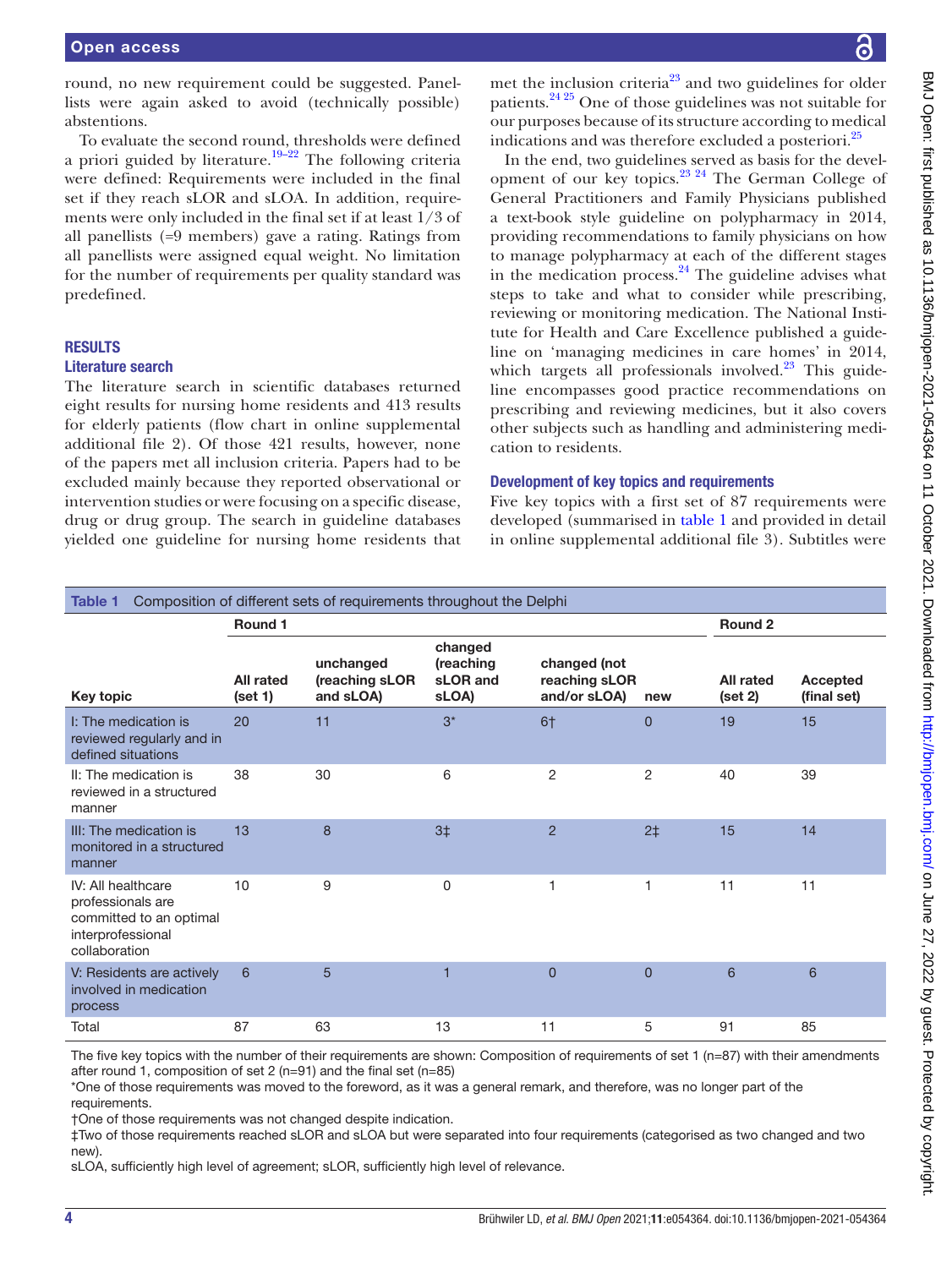round, no new requirement could be suggested. Panellists were again asked to avoid (technically possible) abstentions.

To evaluate the second round, thresholds were defined a priori guided by literature.<sup>[19–22](#page-7-1)</sup> The following criteria were defined: Requirements were included in the final set if they reach sLOR and sLOA. In addition, requirements were only included in the final set if at least 1/3 of all panellists (=9 members) gave a rating. Ratings from all panellists were assigned equal weight. No limitation for the number of requirements per quality standard was predefined.

## **RESULTS**

## Literature search

The literature search in scientific databases returned eight results for nursing home residents and 413 results for elderly patients (flow chart in [online supplemental](https://dx.doi.org/10.1136/bmjopen-2021-054364) [additional file 2\)](https://dx.doi.org/10.1136/bmjopen-2021-054364). Of those 421 results, however, none of the papers met all inclusion criteria. Papers had to be excluded mainly because they reported observational or intervention studies or were focusing on a specific disease, drug or drug group. The search in guideline databases yielded one guideline for nursing home residents that

met the inclusion criteria $23$  and two guidelines for older patients.[24 25](#page-7-4) One of those guidelines was not suitable for our purposes because of its structure according to medical indications and was therefore excluded a posteriori.<sup>[25](#page-7-5)</sup>

In the end, two guidelines served as basis for the development of our key topics.[23 24](#page-7-3) The German College of General Practitioners and Family Physicians published a text-book style guideline on polypharmacy in 2014, providing recommendations to family physicians on how to manage polypharmacy at each of the different stages in the medication process. $^{24}$  $^{24}$  $^{24}$  The guideline advises what steps to take and what to consider while prescribing, reviewing or monitoring medication. The National Institute for Health and Care Excellence published a guideline on 'managing medicines in care homes' in 2014, which targets all professionals involved. $23$  This guideline encompasses good practice recommendations on prescribing and reviewing medicines, but it also covers other subjects such as handling and administering medication to residents.

## Development of key topics and requirements

Five key topics with a first set of 87 requirements were developed (summarised in [table](#page-3-0) 1 and provided in detail in [online supplemental additional file 3](https://dx.doi.org/10.1136/bmjopen-2021-054364)). Subtitles were

<span id="page-3-0"></span>

| Composition of different sets of requirements throughout the Delphi<br>Table 1                           |                             |                                          |                                           |                                               |                |                      |                         |  |  |
|----------------------------------------------------------------------------------------------------------|-----------------------------|------------------------------------------|-------------------------------------------|-----------------------------------------------|----------------|----------------------|-------------------------|--|--|
|                                                                                                          | Round 1                     |                                          |                                           | Round 2                                       |                |                      |                         |  |  |
| Key topic                                                                                                | <b>All rated</b><br>(set 1) | unchanged<br>(reaching sLOR<br>and sLOA) | changed<br>(reaching<br>sLOR and<br>sLOA) | changed (not<br>reaching sLOR<br>and/or sLOA) | new            | All rated<br>(set 2) | Accepted<br>(final set) |  |  |
| I: The medication is<br>reviewed regularly and in<br>defined situations                                  | 20                          | 11                                       | $3^*$                                     | 6†                                            | $\overline{0}$ | 19                   | 15                      |  |  |
| II: The medication is<br>reviewed in a structured<br>manner                                              | 38                          | 30                                       | 6                                         | $\overline{2}$                                | $\overline{2}$ | 40                   | 39                      |  |  |
| III: The medication is<br>monitored in a structured<br>manner                                            | 13                          | 8                                        | 3 <sup>†</sup>                            | $\overline{2}$                                | 2 <sup>†</sup> | 15                   | 14                      |  |  |
| IV: All healthcare<br>professionals are<br>committed to an optimal<br>interprofessional<br>collaboration | 10                          | 9                                        | 0                                         | 1                                             | 1              | 11                   | 11                      |  |  |
| V: Residents are actively<br>involved in medication<br>process                                           | 6                           | 5                                        | 1                                         | $\overline{0}$                                | $\overline{0}$ | 6                    | 6                       |  |  |
| Total                                                                                                    | 87                          | 63                                       | 13                                        | 11                                            | 5              | 91                   | 85                      |  |  |

The five key topics with the number of their requirements are shown: Composition of requirements of set  $1$  (n=87) with their amendments after round 1, composition of set 2 (n=91) and the final set (n=85)

\*One of those requirements was moved to the foreword, as it was a general remark, and therefore, was no longer part of the requirements.

†One of those requirements was not changed despite indication.

‡Two of those requirements reached sLOR and sLOA but were separated into four requirements (categorised as two changed and two new).

sLOA, sufficiently high level of agreement; sLOR, sufficiently high level of relevance.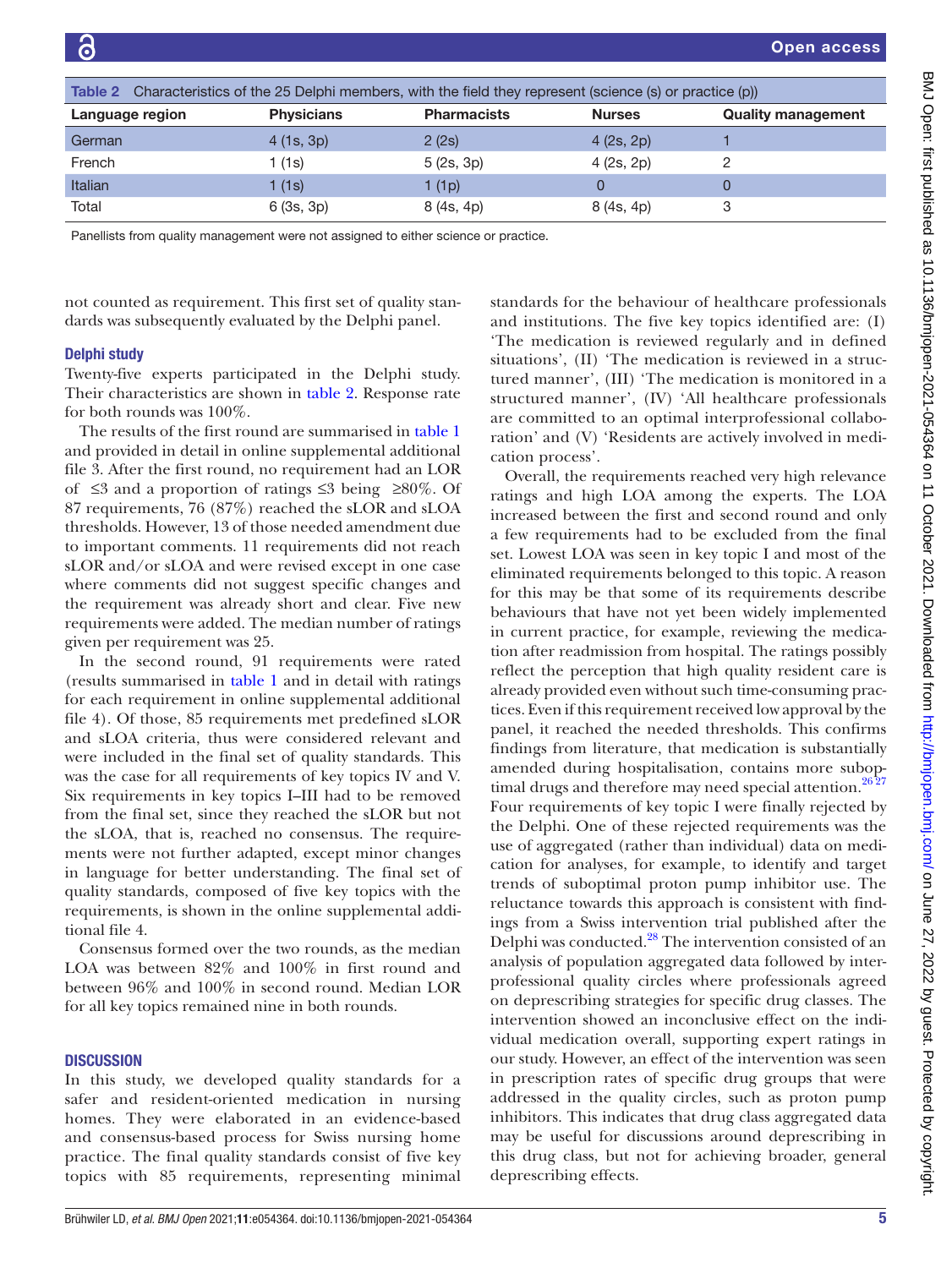<span id="page-4-0"></span>

| Characteristics of the 25 Delphi members, with the field they represent (science (s) or practice (p))<br><b>Table 2</b> |                   |                    |               |                           |  |  |  |  |
|-------------------------------------------------------------------------------------------------------------------------|-------------------|--------------------|---------------|---------------------------|--|--|--|--|
| Language region                                                                                                         | <b>Physicians</b> | <b>Pharmacists</b> | <b>Nurses</b> | <b>Quality management</b> |  |  |  |  |
| German                                                                                                                  | 4(1s, 3p)         | 2(2s)              | 4 (2s, 2p)    |                           |  |  |  |  |
| French                                                                                                                  | 1 (1s)            | 5(2s, 3p)          | 4 (2s, 2p)    |                           |  |  |  |  |
| Italian                                                                                                                 | l (1s)            | 1 (1p)             |               | 0                         |  |  |  |  |
| Total                                                                                                                   | 6(3s, 3p)         | 8 (4s, 4p)         | 8 (4s, 4p)    | 3                         |  |  |  |  |

Panellists from quality management were not assigned to either science or practice.

not counted as requirement. This first set of quality standards was subsequently evaluated by the Delphi panel.

## Delphi study

Twenty-five experts participated in the Delphi study. Their characteristics are shown in [table](#page-4-0) 2. Response rate for both rounds was 100%.

The results of the first round are summarised in [table](#page-3-0) 1 and provided in detail in [online supplemental additional](https://dx.doi.org/10.1136/bmjopen-2021-054364) [file 3](https://dx.doi.org/10.1136/bmjopen-2021-054364). After the first round, no requirement had an LOR of ≤3 and a proportion of ratings ≤3 being ≥80%. Of 87 requirements, 76 (87%) reached the sLOR and sLOA thresholds. However, 13 of those needed amendment due to important comments. 11 requirements did not reach sLOR and/or sLOA and were revised except in one case where comments did not suggest specific changes and the requirement was already short and clear. Five new requirements were added. The median number of ratings given per requirement was 25.

In the second round, 91 requirements were rated (results summarised in [table](#page-3-0) 1 and in detail with ratings for each requirement in [online supplemental additional](https://dx.doi.org/10.1136/bmjopen-2021-054364) [file 4\)](https://dx.doi.org/10.1136/bmjopen-2021-054364). Of those, 85 requirements met predefined sLOR and sLOA criteria, thus were considered relevant and were included in the final set of quality standards. This was the case for all requirements of key topics IV and V. Six requirements in key topics I–III had to be removed from the final set, since they reached the sLOR but not the sLOA, that is, reached no consensus. The requirements were not further adapted, except minor changes in language for better understanding. The final set of quality standards, composed of five key topics with the requirements, is shown in the [online supplemental addi](https://dx.doi.org/10.1136/bmjopen-2021-054364)[tional file 4.](https://dx.doi.org/10.1136/bmjopen-2021-054364)

Consensus formed over the two rounds, as the median LOA was between 82% and 100% in first round and between 96% and 100% in second round. Median LOR for all key topics remained nine in both rounds.

#### **DISCUSSION**

In this study, we developed quality standards for a safer and resident-oriented medication in nursing homes. They were elaborated in an evidence-based and consensus-based process for Swiss nursing home practice. The final quality standards consist of five key topics with 85 requirements, representing minimal

standards for the behaviour of healthcare professionals and institutions. The five key topics identified are: (I) 'The medication is reviewed regularly and in defined situations', (II) 'The medication is reviewed in a structured manner', (III) 'The medication is monitored in a structured manner', (IV) 'All healthcare professionals are committed to an optimal interprofessional collaboration' and (V) 'Residents are actively involved in medication process'.

Overall, the requirements reached very high relevance ratings and high LOA among the experts. The LOA increased between the first and second round and only a few requirements had to be excluded from the final set. Lowest LOA was seen in key topic I and most of the eliminated requirements belonged to this topic. A reason for this may be that some of its requirements describe behaviours that have not yet been widely implemented in current practice, for example, reviewing the medication after readmission from hospital. The ratings possibly reflect the perception that high quality resident care is already provided even without such time-consuming practices. Even if this requirement received low approval by the panel, it reached the needed thresholds. This confirms findings from literature, that medication is substantially amended during hospitalisation, contains more suboptimal drugs and therefore may need special attention.<sup>2627</sup> Four requirements of key topic I were finally rejected by the Delphi. One of these rejected requirements was the use of aggregated (rather than individual) data on medication for analyses, for example, to identify and target trends of suboptimal proton pump inhibitor use. The reluctance towards this approach is consistent with findings from a Swiss intervention trial published after the Delphi was conducted.<sup>28</sup> The intervention consisted of an analysis of population aggregated data followed by interprofessional quality circles where professionals agreed on deprescribing strategies for specific drug classes. The intervention showed an inconclusive effect on the individual medication overall, supporting expert ratings in our study. However, an effect of the intervention was seen in prescription rates of specific drug groups that were addressed in the quality circles, such as proton pump inhibitors. This indicates that drug class aggregated data may be useful for discussions around deprescribing in this drug class, but not for achieving broader, general deprescribing effects.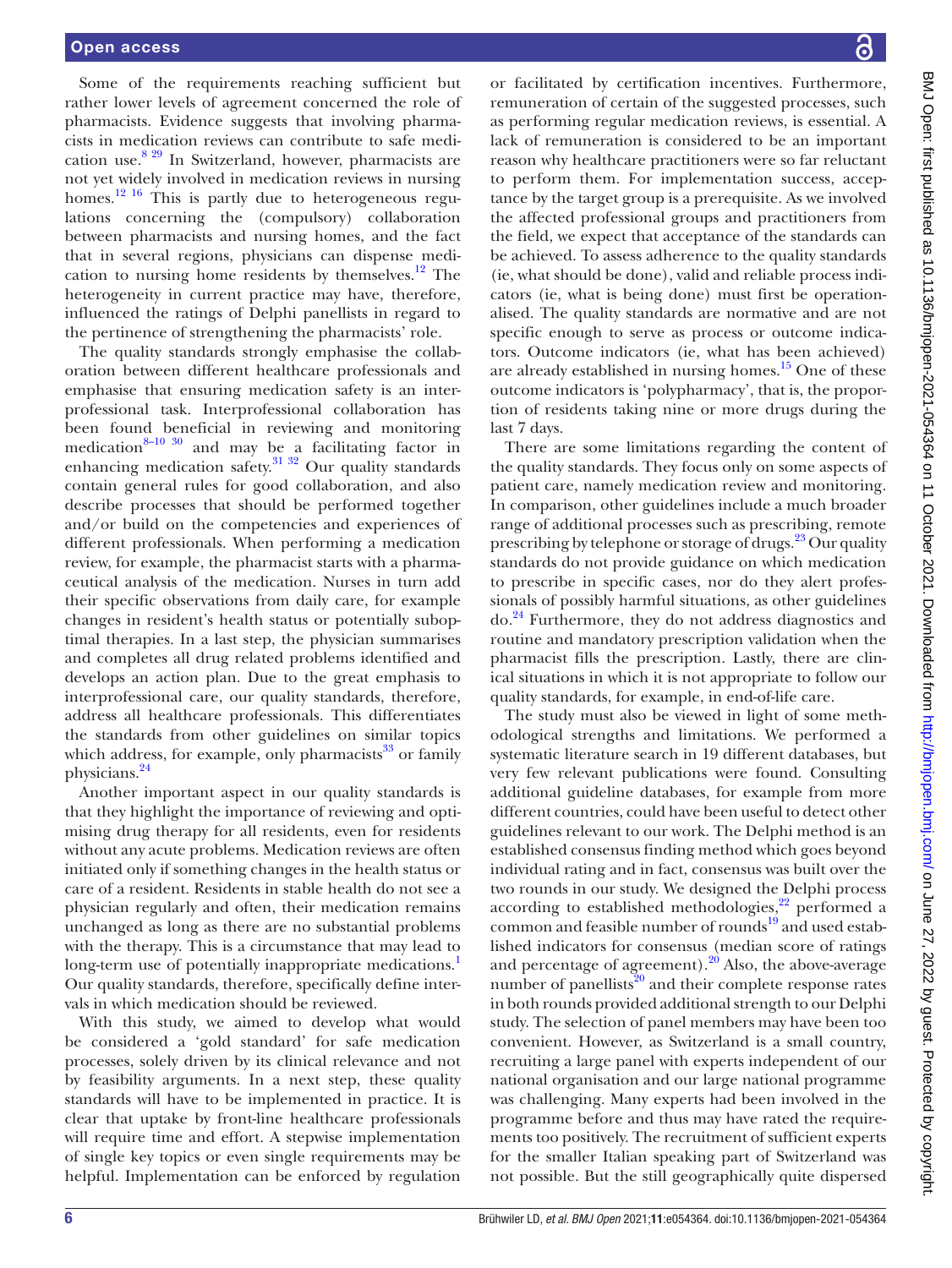Some of the requirements reaching sufficient but rather lower levels of agreement concerned the role of pharmacists. Evidence suggests that involving pharmacists in medication reviews can contribute to safe medication use.[8 29](#page-6-5) In Switzerland, however, pharmacists are not yet widely involved in medication reviews in nursing homes.<sup>[12 16](#page-6-8)</sup> This is partly due to heterogeneous regulations concerning the (compulsory) collaboration between pharmacists and nursing homes, and the fact that in several regions, physicians can dispense medication to nursing home residents by themselves. $12$  The heterogeneity in current practice may have, therefore, influenced the ratings of Delphi panellists in regard to the pertinence of strengthening the pharmacists' role.

The quality standards strongly emphasise the collaboration between different healthcare professionals and emphasise that ensuring medication safety is an interprofessional task. Interprofessional collaboration has been found beneficial in reviewing and monitoring medication<sup>[8–10 30](#page-6-5)</sup> and may be a facilitating factor in enhancing medication safety. $\frac{31 \times 32}{20}$  Our quality standards contain general rules for good collaboration, and also describe processes that should be performed together and/or build on the competencies and experiences of different professionals. When performing a medication review, for example, the pharmacist starts with a pharmaceutical analysis of the medication. Nurses in turn add their specific observations from daily care, for example changes in resident's health status or potentially suboptimal therapies. In a last step, the physician summarises and completes all drug related problems identified and develops an action plan. Due to the great emphasis to interprofessional care, our quality standards, therefore, address all healthcare professionals. This differentiates the standards from other guidelines on similar topics which address, for example, only pharmacists $33$  or family physicians[.24](#page-7-4)

Another important aspect in our quality standards is that they highlight the importance of reviewing and optimising drug therapy for all residents, even for residents without any acute problems. Medication reviews are often initiated only if something changes in the health status or care of a resident. Residents in stable health do not see a physician regularly and often, their medication remains unchanged as long as there are no substantial problems with the therapy. This is a circumstance that may lead to long-term use of potentially inappropriate medications.<sup>[1](#page-6-0)</sup> Our quality standards, therefore, specifically define intervals in which medication should be reviewed.

With this study, we aimed to develop what would be considered a 'gold standard' for safe medication processes, solely driven by its clinical relevance and not by feasibility arguments. In a next step, these quality standards will have to be implemented in practice. It is clear that uptake by front-line healthcare professionals will require time and effort. A stepwise implementation of single key topics or even single requirements may be helpful. Implementation can be enforced by regulation

or facilitated by certification incentives. Furthermore, remuneration of certain of the suggested processes, such as performing regular medication reviews, is essential. A lack of remuneration is considered to be an important reason why healthcare practitioners were so far reluctant to perform them. For implementation success, acceptance by the target group is a prerequisite. As we involved the affected professional groups and practitioners from the field, we expect that acceptance of the standards can be achieved. To assess adherence to the quality standards (ie, what should be done), valid and reliable process indicators (ie, what is being done) must first be operationalised. The quality standards are normative and are not specific enough to serve as process or outcome indicators. Outcome indicators (ie, what has been achieved) are already established in nursing homes.<sup>15</sup> One of these outcome indicators is 'polypharmacy', that is, the proportion of residents taking nine or more drugs during the last 7 days.

There are some limitations regarding the content of the quality standards. They focus only on some aspects of patient care, namely medication review and monitoring. In comparison, other guidelines include a much broader range of additional processes such as prescribing, remote prescribing by telephone or storage of drugs.<sup>23</sup> Our quality standards do not provide guidance on which medication to prescribe in specific cases, nor do they alert professionals of possibly harmful situations, as other guidelines do.[24](#page-7-4) Furthermore, they do not address diagnostics and routine and mandatory prescription validation when the pharmacist fills the prescription. Lastly, there are clinical situations in which it is not appropriate to follow our quality standards, for example, in end-of-life care.

The study must also be viewed in light of some methodological strengths and limitations. We performed a systematic literature search in 19 different databases, but very few relevant publications were found. Consulting additional guideline databases, for example from more different countries, could have been useful to detect other guidelines relevant to our work. The Delphi method is an established consensus finding method which goes beyond individual rating and in fact, consensus was built over the two rounds in our study. We designed the Delphi process according to established methodologies, $^{22}$  performed a common and feasible number of rounds<sup>19</sup> and used established indicators for consensus (median score of ratings and percentage of agreement). $20$  Also, the above-average number of panellists $^{20}$  and their complete response rates in both rounds provided additional strength to our Delphi study. The selection of panel members may have been too convenient. However, as Switzerland is a small country, recruiting a large panel with experts independent of our national organisation and our large national programme was challenging. Many experts had been involved in the programme before and thus may have rated the requirements too positively. The recruitment of sufficient experts for the smaller Italian speaking part of Switzerland was not possible. But the still geographically quite dispersed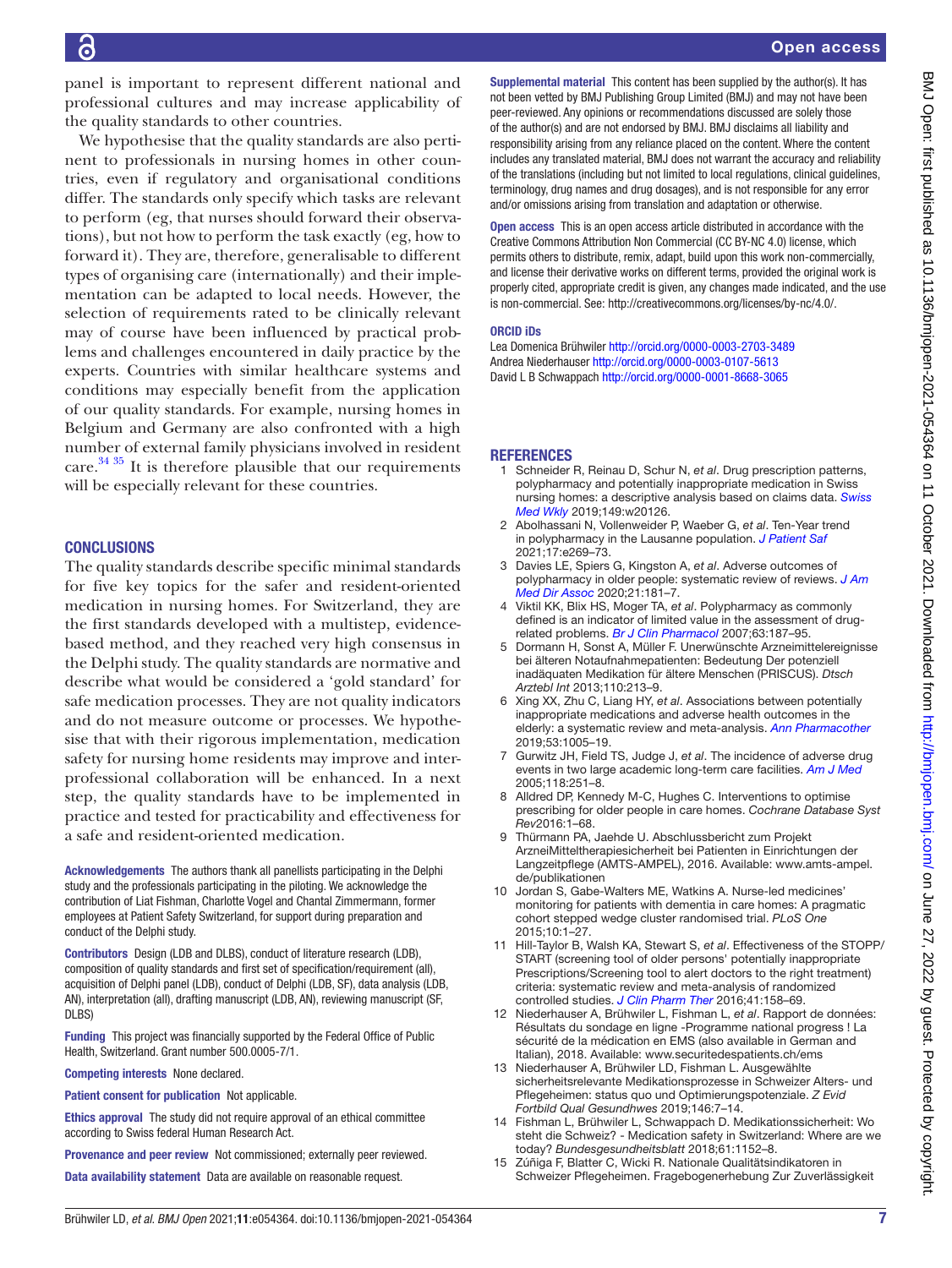panel is important to represent different national and professional cultures and may increase applicability of the quality standards to other countries.

We hypothesise that the quality standards are also pertinent to professionals in nursing homes in other countries, even if regulatory and organisational conditions differ. The standards only specify which tasks are relevant to perform (eg, that nurses should forward their observations), but not how to perform the task exactly (eg, how to forward it). They are, therefore, generalisable to different types of organising care (internationally) and their implementation can be adapted to local needs. However, the selection of requirements rated to be clinically relevant may of course have been influenced by practical problems and challenges encountered in daily practice by the experts. Countries with similar healthcare systems and conditions may especially benefit from the application of our quality standards. For example, nursing homes in Belgium and Germany are also confronted with a high number of external family physicians involved in resident care. $3435$  It is therefore plausible that our requirements will be especially relevant for these countries.

## **CONCLUSIONS**

The quality standards describe specific minimal standards for five key topics for the safer and resident-oriented medication in nursing homes. For Switzerland, they are the first standards developed with a multistep, evidencebased method, and they reached very high consensus in the Delphi study. The quality standards are normative and describe what would be considered a 'gold standard' for safe medication processes. They are not quality indicators and do not measure outcome or processes. We hypothesise that with their rigorous implementation, medication safety for nursing home residents may improve and interprofessional collaboration will be enhanced. In a next step, the quality standards have to be implemented in practice and tested for practicability and effectiveness for a safe and resident-oriented medication.

Acknowledgements The authors thank all panellists participating in the Delphi study and the professionals participating in the piloting. We acknowledge the contribution of Liat Fishman, Charlotte Vogel and Chantal Zimmermann, former employees at Patient Safety Switzerland, for support during preparation and conduct of the Delphi study.

Contributors Design (LDB and DLBS), conduct of literature research (LDB), composition of quality standards and first set of specification/requirement (all), acquisition of Delphi panel (LDB), conduct of Delphi (LDB, SF), data analysis (LDB, AN), interpretation (all), drafting manuscript (LDB, AN), reviewing manuscript (SF, DLBS)

Funding This project was financially supported by the Federal Office of Public Health, Switzerland. Grant number 500.0005-7/1.

Competing interests None declared.

Patient consent for publication Not applicable.

Ethics approval The study did not require approval of an ethical committee according to Swiss federal Human Research Act.

Provenance and peer review Not commissioned; externally peer reviewed.

Data availability statement Data are available on reasonable request.

Supplemental material This content has been supplied by the author(s). It has not been vetted by BMJ Publishing Group Limited (BMJ) and may not have been peer-reviewed. Any opinions or recommendations discussed are solely those of the author(s) and are not endorsed by BMJ. BMJ disclaims all liability and responsibility arising from any reliance placed on the content. Where the content includes any translated material, BMJ does not warrant the accuracy and reliability of the translations (including but not limited to local regulations, clinical guidelines, terminology, drug names and drug dosages), and is not responsible for any error and/or omissions arising from translation and adaptation or otherwise.

Open access This is an open access article distributed in accordance with the Creative Commons Attribution Non Commercial (CC BY-NC 4.0) license, which permits others to distribute, remix, adapt, build upon this work non-commercially, and license their derivative works on different terms, provided the original work is properly cited, appropriate credit is given, any changes made indicated, and the use is non-commercial. See: [http://creativecommons.org/licenses/by-nc/4.0/.](http://creativecommons.org/licenses/by-nc/4.0/)

#### ORCID iDs

Lea Domenica Brühwiler<http://orcid.org/0000-0003-2703-3489> Andrea Niederhauser<http://orcid.org/0000-0003-0107-5613> David L B Schwappach <http://orcid.org/0000-0001-8668-3065>

#### **REFERENCES**

- <span id="page-6-0"></span>1 Schneider R, Reinau D, Schur N, *et al*. Drug prescription patterns, polypharmacy and potentially inappropriate medication in Swiss nursing homes: a descriptive analysis based on claims data. *[Swiss](http://dx.doi.org/10.4414/smw.2019.20126)  [Med Wkly](http://dx.doi.org/10.4414/smw.2019.20126)* 2019;149:w20126.
- 2 Abolhassani N, Vollenweider P, Waeber G, *et al*. Ten-Year trend in polypharmacy in the Lausanne population. *[J Patient Saf](http://dx.doi.org/10.1097/PTS.0000000000000651)* 2021;17:e269–73.
- <span id="page-6-1"></span>3 Davies LE, Spiers G, Kingston A, *et al*. Adverse outcomes of polypharmacy in older people: systematic review of reviews. *[J Am](http://dx.doi.org/10.1016/j.jamda.2019.10.022)  [Med Dir Assoc](http://dx.doi.org/10.1016/j.jamda.2019.10.022)* 2020;21:181–7.
- <span id="page-6-2"></span>4 Viktil KK, Blix HS, Moger TA, *et al*. Polypharmacy as commonly defined is an indicator of limited value in the assessment of drugrelated problems. *[Br J Clin Pharmacol](http://dx.doi.org/10.1111/j.1365-2125.2006.02744.x)* 2007;63:187–95.
- <span id="page-6-3"></span>5 Dormann H, Sonst A, Müller F. Unerwünschte Arzneimittelereignisse bei älteren Notaufnahmepatienten: Bedeutung Der potenziell inadäquaten Medikation für ältere Menschen (PRISCUS). *Dtsch Arztebl Int* 2013;110:213–9.
- 6 Xing XX, Zhu C, Liang HY, *et al*. Associations between potentially inappropriate medications and adverse health outcomes in the elderly: a systematic review and meta-analysis. *[Ann Pharmacother](http://dx.doi.org/10.1177/1060028019853069)* 2019;53:1005–19.
- <span id="page-6-4"></span>7 Gurwitz JH, Field TS, Judge J, *et al*. The incidence of adverse drug events in two large academic long-term care facilities. *[Am J Med](http://dx.doi.org/10.1016/j.amjmed.2004.09.018)* 2005;118:251–8.
- <span id="page-6-5"></span>8 Alldred DP, Kennedy M-C, Hughes C. Interventions to optimise prescribing for older people in care homes. *Cochrane Database Syst Rev*2016:1–68.
- <span id="page-6-6"></span>9 Thürmann PA, Jaehde U. Abschlussbericht zum Projekt ArzneiMitteltherapiesicherheit bei Patienten in Einrichtungen der Langzeitpflege (AMTS-AMPEL), 2016. Available: [www.amts-ampel.](www.amts-ampel.de/publikationen) [de/publikationen](www.amts-ampel.de/publikationen)
- 10 Jordan S, Gabe-Walters ME, Watkins A. Nurse-led medicines' monitoring for patients with dementia in care homes: A pragmatic cohort stepped wedge cluster randomised trial. *PLoS One* 2015;10:1–27.
- <span id="page-6-7"></span>11 Hill-Taylor B, Walsh KA, Stewart S, *et al*. Effectiveness of the STOPP/ START (screening tool of older persons' potentially inappropriate Prescriptions/Screening tool to alert doctors to the right treatment) criteria: systematic review and meta-analysis of randomized controlled studies. *[J Clin Pharm Ther](http://dx.doi.org/10.1111/jcpt.12372)* 2016;41:158–69.
- <span id="page-6-8"></span>12 Niederhauser A, Brühwiler L, Fishman L, *et al*. Rapport de données: Résultats du sondage en ligne -Programme national progress ! La sécurité de la médication en EMS (also available in German and Italian), 2018. Available: <www.securitedespatients.ch/ems>
- 13 Niederhauser A, Brühwiler LD, Fishman L. Ausgewählte sicherheitsrelevante Medikationsprozesse in Schweizer Alters- und Pflegeheimen: status quo und Optimierungspotenziale. *Z Evid Fortbild Qual Gesundhwes* 2019;146:7–14.
- <span id="page-6-9"></span>14 Fishman L, Brühwiler L, Schwappach D. Medikationssicherheit: Wo steht die Schweiz? - Medication safety in Switzerland: Where are we today? *Bundesgesundheitsblatt* 2018;61:1152–8.
- <span id="page-6-10"></span>15 Zúñiga F, Blatter C, Wicki R. Nationale Qualitätsindikatoren in Schweizer Pflegeheimen. Fragebogenerhebung Zur Zuverlässigkeit